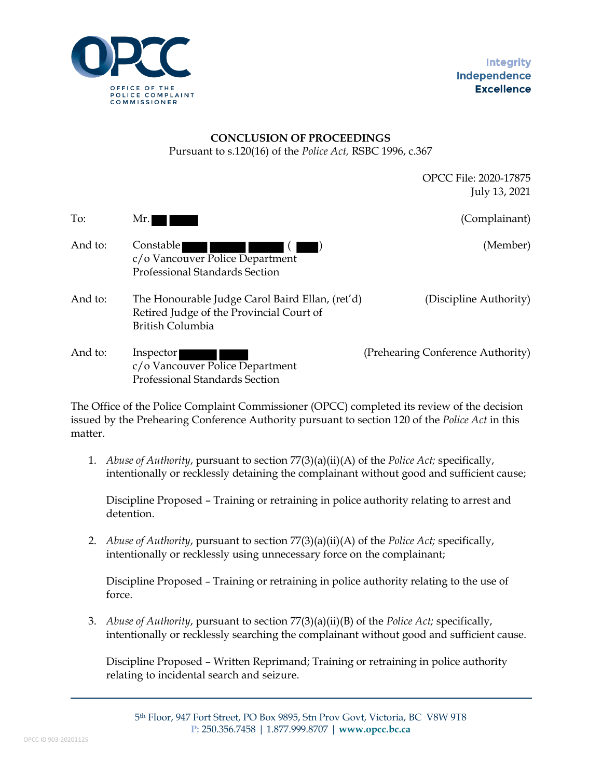

## **CONCLUSION OF PROCEEDINGS** Pursuant to s.120(16) of the *Police Act,* RSBC 1996, c.367

OPCC File: 2020-17875 July 13, 2021

| To:     | Mr.                                                                                                             | (Complainant)                     |
|---------|-----------------------------------------------------------------------------------------------------------------|-----------------------------------|
| And to: | Constable<br>c/o Vancouver Police Department<br><b>Professional Standards Section</b>                           | (Member)                          |
| And to: | The Honourable Judge Carol Baird Ellan, (ret'd)<br>Retired Judge of the Provincial Court of<br>British Columbia | (Discipline Authority)            |
| And to: | Inspector<br>c/o Vancouver Police Department<br>Professional Standards Section                                  | (Prehearing Conference Authority) |

The Office of the Police Complaint Commissioner (OPCC) completed its review of the decision issued by the Prehearing Conference Authority pursuant to section 120 of the *Police Act* in this matter.

1. *Abuse of Authority*, pursuant to section 77(3)(a)(ii)(A) of the *Police Act;* specifically, intentionally or recklessly detaining the complainant without good and sufficient cause;

Discipline Proposed – Training or retraining in police authority relating to arrest and detention.

2. *Abuse of Authority*, pursuant to section 77(3)(a)(ii)(A) of the *Police Act;* specifically, intentionally or recklessly using unnecessary force on the complainant;

Discipline Proposed – Training or retraining in police authority relating to the use of force.

3. *Abuse of Authority*, pursuant to section 77(3)(a)(ii)(B) of the *Police Act;* specifically, intentionally or recklessly searching the complainant without good and sufficient cause.

Discipline Proposed – Written Reprimand; Training or retraining in police authority relating to incidental search and seizure.